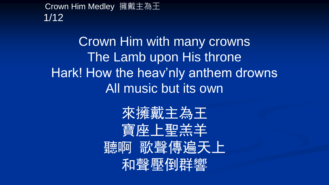Crown Him Medley 擁戴主為王 1/12

Crown Him with many crowns The Lamb upon His throne Hark! How the heav'nly anthem drowns All music but its own

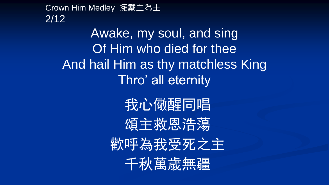Crown Him Medley 擁戴主為王 2/12

> Awake, my soul, and sing Of Him who died for thee And hail Him as thy matchless King Thro' all eternity

> > 我心做醒同唱 頌主救恩浩蕩

歡呼為我受死之主

千秋萬歲無疆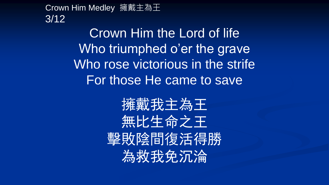Crown Him Medley 擁戴主為王 3/12

> Crown Him the Lord of life Who triumphed o'er the grave Who rose victorious in the strife For those He came to save

> > 擁戴我主為王 無比生命之王 擊敗陰間復活得勝 為救我免沉淪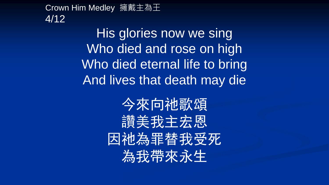Crown Him Medley 擁戴主為王 4/12

> His glories now we sing Who died and rose on high Who died eternal life to bring And lives that death may die

> > 今來向祂歌頌 讚美我主宏恩 因祂為罪替我受死 為我帶來永生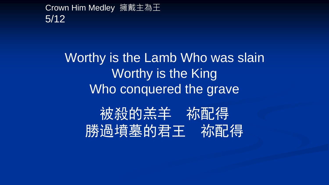Crown Him Medley 擁戴主為王 5/12

> Worthy is the Lamb Who was slain Worthy is the King Who conquered the grave

## 被殺的羔羊 祢配得 勝過墳墓的君王 祢配得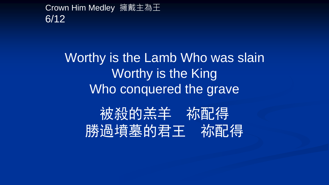Crown Him Medley 擁戴主為王 6/12

> Worthy is the Lamb Who was slain Worthy is the King Who conquered the grave

## 被殺的羔羊 祢配得 勝過墳墓的君王 祢配得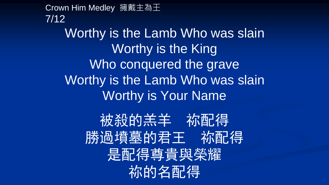Crown Him Medley 擁戴主為王 7/12 Worthy is the Lamb Who was slain Worthy is the King Who conquered the grave Worthy is the Lamb Who was slain Worthy is Your Name 被殺的羔羊 祢配得 勝過墳墓的君王 祢配得 是配得尊貴與榮耀

祢的名配得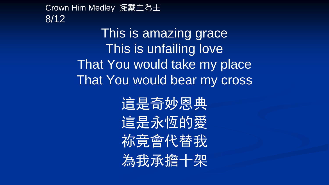Crown Him Medley 擁戴主為王 8/12

> This is amazing grace This is unfailing love That You would take my place That You would bear my cross

> > 這是奇妙恩典 這是永恆的愛 祢竟會代替我 為我承擔十架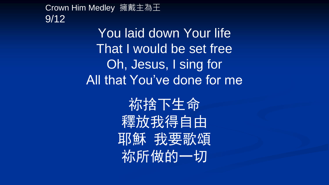Crown Him Medley 擁戴主為王 9/12

> You laid down Your life That I would be set free Oh, Jesus, I sing for All that You've done for me

> > 祢捨下生命 釋放我得自由 耶穌 我要歌頌 祢所做的一切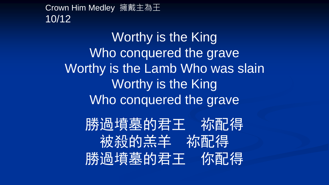## Crown Him Medley 擁戴主為王 10/12

Worthy is the King Who conquered the grave Worthy is the Lamb Who was slain Worthy is the King Who conquered the grave

勝過墳墓的君王 祢配得 被殺的羔羊 祢配得 勝過墳墓的君王 你配得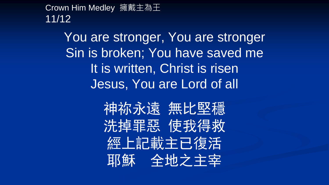Crown Him Medley 擁戴主為王 11/12

> You are stronger, You are stronger Sin is broken; You have saved me It is written, Christ is risen Jesus, You are Lord of all

> > 神祢永遠 無比堅穩 洗掉罪惡 使我得救 經上記載主已復活 耶穌 全地之主宰